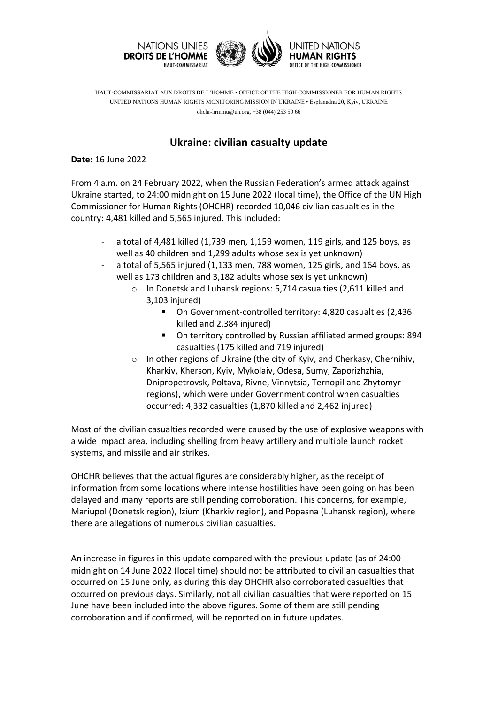

HAUT-COMMISSARIAT AUX DROITS DE L'HOMME • OFFICE OF THE HIGH COMMISSIONER FOR HUMAN RIGHTS UNITED NATIONS HUMAN RIGHTS MONITORING MISSION IN UKRAINE • Esplanadna 20, Kyiv, UKRAINE ohchr-hrmmu@un.org, +38 (044) 253 59 66

## **Ukraine: civilian casualty update**

**Date:** 16 June 2022

From 4 a.m. on 24 February 2022, when the Russian Federation's armed attack against Ukraine started, to 24:00 midnight on 15 June 2022 (local time), the Office of the UN High Commissioner for Human Rights (OHCHR) recorded 10,046 civilian casualties in the country: 4,481 killed and 5,565 injured. This included:

- a total of 4,481 killed (1,739 men, 1,159 women, 119 girls, and 125 boys, as well as 40 children and 1,299 adults whose sex is yet unknown)
- a total of 5,565 injured (1,133 men, 788 women, 125 girls, and 164 boys, as well as 173 children and 3,182 adults whose sex is yet unknown)
	- o In Donetsk and Luhansk regions: 5,714 casualties (2,611 killed and 3,103 injured)
		- On Government-controlled territory: 4,820 casualties (2,436 killed and 2,384 injured)
		- On territory controlled by Russian affiliated armed groups: 894 casualties (175 killed and 719 injured)
	- o In other regions of Ukraine (the city of Kyiv, and Cherkasy, Chernihiv, Kharkiv, Kherson, Kyiv, Mykolaiv, Odesa, Sumy, Zaporizhzhia, Dnipropetrovsk, Poltava, Rivne, Vinnytsia, Ternopil and Zhytomyr regions), which were under Government control when casualties occurred: 4,332 casualties (1,870 killed and 2,462 injured)

Most of the civilian casualties recorded were caused by the use of explosive weapons with a wide impact area, including shelling from heavy artillery and multiple launch rocket systems, and missile and air strikes.

OHCHR believes that the actual figures are considerably higher, as the receipt of information from some locations where intense hostilities have been going on has been delayed and many reports are still pending corroboration. This concerns, for example, Mariupol (Donetsk region), Izium (Kharkiv region), and Popasna (Luhansk region), where there are allegations of numerous civilian casualties.

An increase in figures in this update compared with the previous update (as of 24:00 midnight on 14 June 2022 (local time) should not be attributed to civilian casualties that occurred on 15 June only, as during this day OHCHR also corroborated casualties that occurred on previous days. Similarly, not all civilian casualties that were reported on 15 June have been included into the above figures. Some of them are still pending corroboration and if confirmed, will be reported on in future updates.

\_\_\_\_\_\_\_\_\_\_\_\_\_\_\_\_\_\_\_\_\_\_\_\_\_\_\_\_\_\_\_\_\_\_\_\_\_\_\_\_